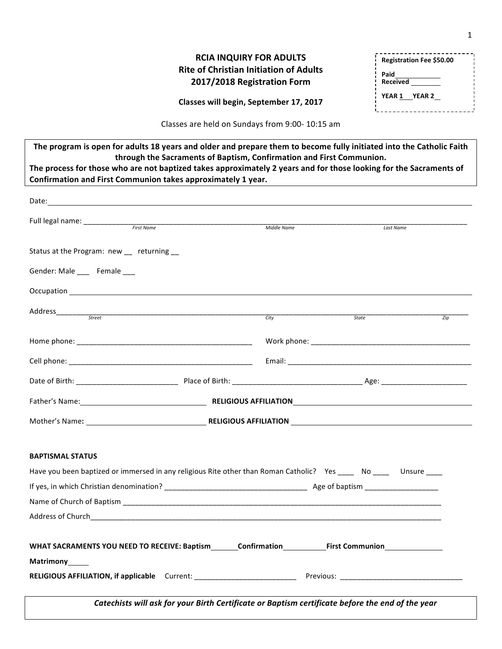## **RCIA INQUIRY FOR ADULTS Rite of Christian Initiation of Adults 2017/2018 Registration Form**

| Registration Fee \$50.00       |  |  |
|--------------------------------|--|--|
| Paid<br><b>Received</b>        |  |  |
| <b>YEAR 1</b><br><b>YEAR 2</b> |  |  |
|                                |  |  |

**Classes will begin, September 17, 2017**

Classes are held on Sundays from 9:00- 10:15 am

| The program is open for adults 18 years and older and prepare them to become fully initiated into the Catholic Faith<br>through the Sacraments of Baptism, Confirmation and First Communion. |             |              |                  |
|----------------------------------------------------------------------------------------------------------------------------------------------------------------------------------------------|-------------|--------------|------------------|
| The process for those who are not baptized takes approximately 2 years and for those looking for the Sacraments of                                                                           |             |              |                  |
| Confirmation and First Communion takes approximately 1 year.                                                                                                                                 |             |              |                  |
|                                                                                                                                                                                              |             |              |                  |
|                                                                                                                                                                                              |             |              |                  |
|                                                                                                                                                                                              | Middle Name | Last Name    |                  |
| Status at the Program: new __ returning __                                                                                                                                                   |             |              |                  |
| Gender: Male ____ Female ___                                                                                                                                                                 |             |              |                  |
|                                                                                                                                                                                              |             |              |                  |
|                                                                                                                                                                                              |             |              |                  |
|                                                                                                                                                                                              | City        | <b>State</b> | $\overline{Zip}$ |
|                                                                                                                                                                                              |             |              |                  |
|                                                                                                                                                                                              |             |              |                  |
|                                                                                                                                                                                              |             |              |                  |
|                                                                                                                                                                                              |             |              |                  |
|                                                                                                                                                                                              |             |              |                  |
|                                                                                                                                                                                              |             |              |                  |
| <b>BAPTISMAL STATUS</b>                                                                                                                                                                      |             |              |                  |
| Have you been baptized or immersed in any religious Rite other than Roman Catholic? Yes _____ No _____ Unsure ____                                                                           |             |              |                  |
|                                                                                                                                                                                              |             |              |                  |
|                                                                                                                                                                                              |             |              |                  |
|                                                                                                                                                                                              |             |              |                  |
|                                                                                                                                                                                              |             |              |                  |
| WHAT SACRAMENTS YOU NEED TO RECEIVE: Baptism________Confirmation______________First Communion_______                                                                                         |             |              |                  |
| Matrimony_____                                                                                                                                                                               |             |              |                  |
|                                                                                                                                                                                              |             |              |                  |
| Catechists will ask for your Birth Certificate or Baptism certificate before the end of the year                                                                                             |             |              |                  |
|                                                                                                                                                                                              |             |              |                  |